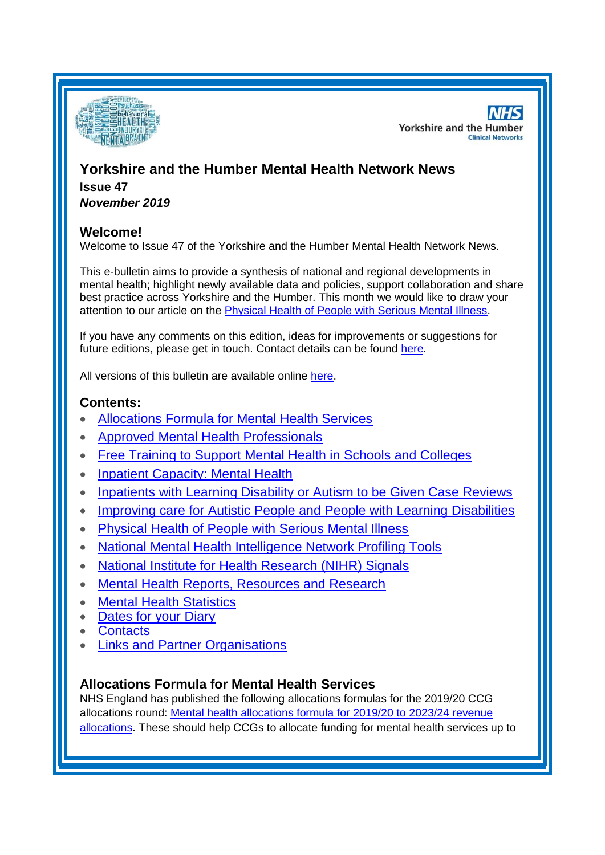

**NHS Yorkshire and the Humber Clinical Networks** 

# **Yorkshire and the Humber Mental Health Network News Issue 47** *November 2019*

### **Welcome!**

Welcome to Issue 47 of the Yorkshire and the Humber Mental Health Network News.

This e-bulletin aims to provide a synthesis of national and regional developments in mental health; highlight newly available data and policies, support collaboration and share best practice across Yorkshire and the Humber. This month we would like to draw your attention to our article on the [Physical Health of People with Serious Mental Illness.](#page-2-0)

If you have any comments on this edition, ideas for improvements or suggestions for future editions, please get in touch. Contact details can be found [here.](#page-6-0)

All versions of this bulletin are available online [here.](http://www.yhscn.nhs.uk/mental-health-clinic/mental-health-network/MH-documents-and-links.php)

# **Contents:**

- [Allocations Formula for Mental Health Services](#page-0-0)
- [Approved Mental Health Professionals](#page-1-0)
- [Free Training to Support Mental Health in Schools and Colleges](#page-1-1)
- [Inpatient Capacity: Mental Health](#page-1-2)
- [Inpatients with Learning Disability or Autism to be Given Case Reviews](#page-1-3)
- Improving [care for Autistic People and People with Learning Disabilities](#page-1-4)
- [Physical Health of People with Serious Mental Illness](#page-2-0)
- [National Mental Health Intelligence Network Profiling Tools](#page-0-0)
- [National Institute for Health Research \(NIHR\) Signals](#page-3-0)
- [Mental Health Reports, Resources and Research](#page-3-0)
- [Mental Health Statistics](#page-4-0)
- [Dates for your Diary](#page-4-1)
- [Contacts](#page-6-0)
- [Links and Partner Organisations](#page-6-1)

## <span id="page-0-0"></span>**Allocations Formula for Mental Health Services**

NHS England has published the following allocations formulas for the 2019/20 CCG allocations round: [Mental health allocations formula for 2019/20 to 2023/24 revenue](https://www.england.nhs.uk/publication/mental-health-allocations-formula/)  [allocations.](https://www.england.nhs.uk/publication/mental-health-allocations-formula/) These should help CCGs to allocate funding for mental health services up to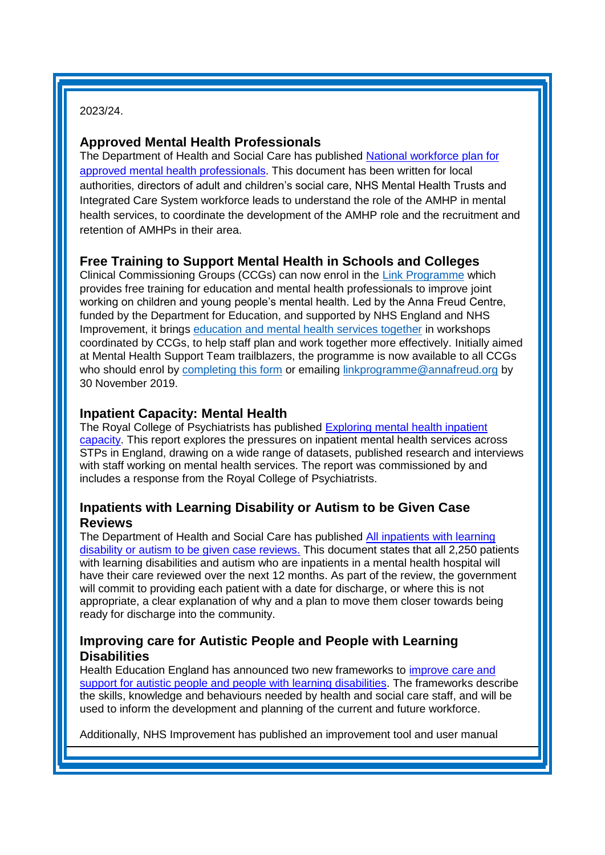2023/24.

### <span id="page-1-0"></span>**Approved Mental Health Professionals**

The Department of Health and Social Care has published [National workforce plan for](https://www.gov.uk/government/publications/national-workforce-plan-for-approved-mental-health-professionals-amhps)  [approved mental health professionals.](https://www.gov.uk/government/publications/national-workforce-plan-for-approved-mental-health-professionals-amhps) This document has been written for local authorities, directors of adult and children's social care, NHS Mental Health Trusts and Integrated Care System workforce leads to understand the role of the AMHP in mental health services, to coordinate the development of the AMHP role and the recruitment and retention of AMHPs in their area.

# <span id="page-1-1"></span>**Free Training to Support Mental Health in Schools and Colleges**

Clinical Commissioning Groups (CCGs) can now enrol in the [Link Programme](https://ccgbulletin.cmail19.com/t/d-l-xdijtjy-cdyegjt-y/) which provides free training for education and mental health professionals to improve joint working on children and young people's mental health. Led by the Anna Freud Centre, funded by the Department for Education, and supported by NHS England and NHS Improvement, it brings [education and mental health services together](https://ccgbulletin.cmail19.com/t/d-l-xdijtjy-cdyegjt-j/) in workshops coordinated by CCGs, to help staff plan and work together more effectively. Initially aimed at Mental Health Support Team trailblazers, the programme is now available to all CCGs who should enrol by [completing this form](https://ccgbulletin.cmail19.com/t/d-l-xdijtjy-cdyegjt-t/) or emailing [linkprogramme@annafreud.org](mailto:linkprogramme@annafreud.org) by 30 November 2019.

### <span id="page-1-2"></span>**Inpatient Capacity: Mental Health**

The Royal College of Psychiatrists has published [Exploring mental health inpatient](https://www.rcpsych.ac.uk/improving-care/campaigning-for-better-mental-health-policy/service-capacity-in-england)  [capacity.](https://www.rcpsych.ac.uk/improving-care/campaigning-for-better-mental-health-policy/service-capacity-in-england) This report explores the pressures on inpatient mental health services across STPs in England, drawing on a wide range of datasets, published research and interviews with staff working on mental health services. The report was commissioned by and includes a response from the Royal College of Psychiatrists.

# <span id="page-1-3"></span>**Inpatients with Learning Disability or Autism to be Given Case Reviews**

The Department of Health and Social Care has published [All inpatients with learning](https://www.gov.uk/government/news/all-inpatients-with-learning-disability-or-autism-to-be-given-case-reviews)  [disability or autism to be given case reviews.](https://www.gov.uk/government/news/all-inpatients-with-learning-disability-or-autism-to-be-given-case-reviews) This document states that all 2,250 patients with learning disabilities and autism who are inpatients in a mental health hospital will have their care reviewed over the next 12 months. As part of the review, the government will commit to providing each patient with a date for discharge, or where this is not appropriate, a clear explanation of why and a plan to move them closer towards being ready for discharge into the community.

### <span id="page-1-4"></span>**Improving care for Autistic People and People with Learning Disabilities**

Health Education England has announced two new frameworks to [improve care and](https://www.hee.nhs.uk/news-blogs-events/news/new-frameworks-launched-improve-care-support-autistic-people-people-learning-disabilities)  [support for autistic people and people with learning disabilities.](https://www.hee.nhs.uk/news-blogs-events/news/new-frameworks-launched-improve-care-support-autistic-people-people-learning-disabilities) The frameworks describe the skills, knowledge and behaviours needed by health and social care staff, and will be used to inform the development and planning of the current and future workforce.

Additionally, NHS Improvement has published an improvement tool and user manual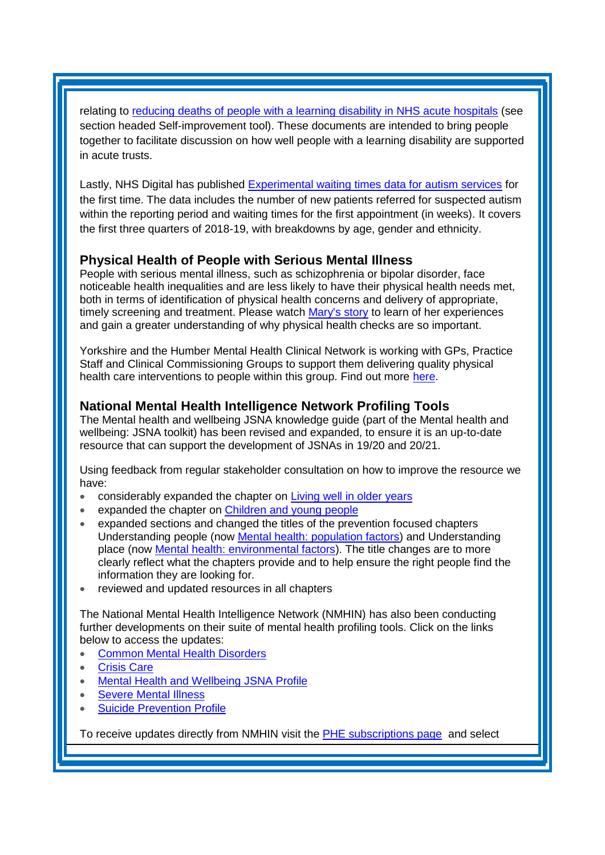relating to [reducing deaths of people with a learning disability in NHS acute hospitals](https://improvement.nhs.uk/resources/learning-disability-improvement-standards-nhs-trusts/) (see section headed Self-improvement tool). These documents are intended to bring people together to facilitate discussion on how well people with a learning disability are supported in acute trusts.

Lastly, NHS Digital has published [Experimental waiting times data for autism services](https://digital.nhs.uk/data-and-information/publications/statistical/autism-statistics/autism-statistics) for the first time. The data includes the number of new patients referred for suspected autism within the reporting period and waiting times for the first appointment (in weeks). It covers the first three quarters of 2018-19, with breakdowns by age, gender and ethnicity.

## <span id="page-2-0"></span>**Physical Health of People with Serious Mental Illness**

People with serious mental illness, such as schizophrenia or bipolar disorder, face noticeable health inequalities and are less likely to have their physical health needs met, both in terms of identification of physical health concerns and delivery of appropriate, timely screening and treatment. Please watch [Mary's story](https://www.youtube.com/watch?v=pKgoLeAyyLA&feature=youtu.be) to learn of her experiences and gain a greater understanding of why physical health checks are so important.

Yorkshire and the Humber Mental Health Clinical Network is working with GPs, Practice Staff and Clinical Commissioning Groups to support them delivering quality physical health care interventions to people within this group. Find out more [here.](http://www.yhscn.nhs.uk/mental-health-clinic/mental-health-network/SeriousMentalIllness/mental-health-clinicmental-health-networkPHSMIphp.php)

## **National Mental Health Intelligence Network Profiling Tools**

The Mental health and wellbeing JSNA knowledge guide (part of the Mental health and wellbeing: JSNA toolkit) has been revised and expanded, to ensure it is an up-to-date resource that can support the development of JSNAs in 19/20 and 20/21.

Using feedback from regular stakeholder consultation on how to improve the resource we have:

- considerably expanded the chapter on [Living well in older years](https://lnks.gd/l/eyJhbGciOiJIUzI1NiJ9.eyJidWxsZXRpbl9saW5rX2lkIjoxMDYsInVyaSI6ImJwMjpjbGljayIsImJ1bGxldGluX2lkIjoiMjAxOTExMDUuMTI0NDcxMDEiLCJ1cmwiOiJodHRwczovL3d3dy5nb3YudWsvZ292ZXJubWVudC9wdWJsaWNhdGlvbnMvYmV0dGVyLW1lbnRhbC1oZWFsdGgtanNuYS10b29sa2l0LzctbGl2aW5nLXdlbGwtaW4tb2xkZXIteWVhcnMifQ.9ApO1gKs90WhvhQKFsKxu4NTY8UlTmMVgHa3YjGnaCc/br/70921393588-l)
- expanded the chapter on [Children and young people](https://lnks.gd/l/eyJhbGciOiJIUzI1NiJ9.eyJidWxsZXRpbl9saW5rX2lkIjoxMDcsInVyaSI6ImJwMjpjbGljayIsImJ1bGxldGluX2lkIjoiMjAxOTExMDUuMTI0NDcxMDEiLCJ1cmwiOiJodHRwczovL3d3dy5nb3YudWsvZ292ZXJubWVudC9wdWJsaWNhdGlvbnMvYmV0dGVyLW1lbnRhbC1oZWFsdGgtanNuYS10b29sa2l0LzUtY2hpbGRyZW4tYW5kLXlvdW5nLXBlb3BsZSJ9.8K15EwmdCGRIADR-YC3tGPKIfms_rQVv0QCheFWlUFg/br/70921393588-l)
- expanded sections and changed the titles of the prevention focused chapters Understanding people (now [Mental health: population factors\)](https://lnks.gd/l/eyJhbGciOiJIUzI1NiJ9.eyJidWxsZXRpbl9saW5rX2lkIjoxMDgsInVyaSI6ImJwMjpjbGljayIsImJ1bGxldGluX2lkIjoiMjAxOTExMDUuMTI0NDcxMDEiLCJ1cmwiOiJodHRwczovL3d3dy5nb3YudWsvZ292ZXJubWVudC9wdWJsaWNhdGlvbnMvYmV0dGVyLW1lbnRhbC1oZWFsdGgtanNuYS10b29sa2l0LzMtdW5kZXJzdGFuZGluZy1wZW9wbGUifQ.noyXhTd0FdmSHu76j6rNRmQOSJlch7mwUNeJ3jJUm6Y/br/70921393588-l) and Understanding place (now [Mental health: environmental factors\)](https://lnks.gd/l/eyJhbGciOiJIUzI1NiJ9.eyJidWxsZXRpbl9saW5rX2lkIjoxMDksInVyaSI6ImJwMjpjbGljayIsImJ1bGxldGluX2lkIjoiMjAxOTExMDUuMTI0NDcxMDEiLCJ1cmwiOiJodHRwczovL3d3dy5nb3YudWsvZ292ZXJubWVudC9wdWJsaWNhdGlvbnMvYmV0dGVyLW1lbnRhbC1oZWFsdGgtanNuYS10b29sa2l0LzItdW5kZXJzdGFuZGluZy1wbGFjZSJ9.60G7IqDC9QHlnyFtjr0hjzTPZ-DM1u-mAQDBYFvY-_g/br/70921393588-l). The title changes are to more clearly reflect what the chapters provide and to help ensure the right people find the information they are looking for.
- reviewed and updated resources in all chapters

The National Mental Health Intelligence Network (NMHIN) has also been conducting further developments on their suite of mental health profiling tools. Click on the links below to access the updates:

- [Common Mental Health Disorders](http://links.govdelivery.com/track?type=click&enid=ZWFzPTEmbXNpZD0mYXVpZD0mbWFpbGluZ2lkPTIwMTcxMjA1LjgxOTE2MDgxJm1lc3NhZ2VpZD1NREItUFJELUJVTC0yMDE3MTIwNS44MTkxNjA4MSZkYXRhYmFzZWlkPTEwMDEmc2VyaWFsPTE2OTcwMTE4JmVtYWlsaWQ9c2FyYWguYm91bEBuaHMubmV0JnVzZXJpZD1zYXJhaC5ib3VsQG5ocy5uZXQmdGFyZ2V0aWQ9JmZsPSZleHRyYT1NdWx0aXZhcmlhdGVJZD0mJiY=&&&104&&&https://fingertips.phe.org.uk/profile-group/mental-health/profile/common-mental-disorders)
- [Crisis Care](http://links.govdelivery.com/track?type=click&enid=ZWFzPTEmbXNpZD0mYXVpZD0mbWFpbGluZ2lkPTIwMTcxMjA1LjgxOTE2MDgxJm1lc3NhZ2VpZD1NREItUFJELUJVTC0yMDE3MTIwNS44MTkxNjA4MSZkYXRhYmFzZWlkPTEwMDEmc2VyaWFsPTE2OTcwMTE4JmVtYWlsaWQ9c2FyYWguYm91bEBuaHMubmV0JnVzZXJpZD1zYXJhaC5ib3VsQG5ocy5uZXQmdGFyZ2V0aWQ9JmZsPSZleHRyYT1NdWx0aXZhcmlhdGVJZD0mJiY=&&&105&&&https://fingertips.phe.org.uk/profile-group/mental-health/profile/crisis-care)
- [Mental Health and Wellbeing JSNA Profile](http://links.govdelivery.com/track?type=click&enid=ZWFzPTEmbXNpZD0mYXVpZD0mbWFpbGluZ2lkPTIwMTcxMjA1LjgxOTE2MDgxJm1lc3NhZ2VpZD1NREItUFJELUJVTC0yMDE3MTIwNS44MTkxNjA4MSZkYXRhYmFzZWlkPTEwMDEmc2VyaWFsPTE2OTcwMTE4JmVtYWlsaWQ9c2FyYWguYm91bEBuaHMubmV0JnVzZXJpZD1zYXJhaC5ib3VsQG5ocy5uZXQmdGFyZ2V0aWQ9JmZsPSZleHRyYT1NdWx0aXZhcmlhdGVJZD0mJiY=&&&106&&&https://fingertips.phe.org.uk/profile-group/mental-health/profile/mh-jsna)
- [Severe Mental](http://links.govdelivery.com/track?type=click&enid=ZWFzPTEmbXNpZD0mYXVpZD0mbWFpbGluZ2lkPTIwMTcxMjA1LjgxOTE2MDgxJm1lc3NhZ2VpZD1NREItUFJELUJVTC0yMDE3MTIwNS44MTkxNjA4MSZkYXRhYmFzZWlkPTEwMDEmc2VyaWFsPTE2OTcwMTE4JmVtYWlsaWQ9c2FyYWguYm91bEBuaHMubmV0JnVzZXJpZD1zYXJhaC5ib3VsQG5ocy5uZXQmdGFyZ2V0aWQ9JmZsPSZleHRyYT1NdWx0aXZhcmlhdGVJZD0mJiY=&&&108&&&https://fingertips.phe.org.uk/profile-group/mental-health/profile/severe-mental-illness) Illness
- **[Suicide Prevention Profile](http://links.govdelivery.com/track?type=click&enid=ZWFzPTEmbXNpZD0mYXVpZD0mbWFpbGluZ2lkPTIwMTgwNjA1LjkwNzEwNzExJm1lc3NhZ2VpZD1NREItUFJELUJVTC0yMDE4MDYwNS45MDcxMDcxMSZkYXRhYmFzZWlkPTEwMDEmc2VyaWFsPTE3MDEzODU4JmVtYWlsaWQ9c2FyYWguYm91bEBuaHMubmV0JnVzZXJpZD1zYXJhaC5ib3VsQG5ocy5uZXQmdGFyZ2V0aWQ9JmZsPSZleHRyYT1NdWx0aXZhcmlhdGVJZD0mJiY=&&&104&&&https://fingertips.phe.org.uk/profile-group/mental-health/profile/suicide)**

To receive updates directly from NMHIN visit the [PHE subscriptions page](http://links.govdelivery.com/track?type=click&enid=ZWFzPTEmbXNpZD0mYXVpZD0mbWFpbGluZ2lkPTIwMTgwMjA3Ljg0OTY1MzgxJm1lc3NhZ2VpZD1NREItUFJELUJVTC0yMDE4MDIwNy44NDk2NTM4MSZkYXRhYmFzZWlkPTEwMDEmc2VyaWFsPTE2OTgzNDk5JmVtYWlsaWQ9c2FyYWguYm91bEBuaHMubmV0JnVzZXJpZD1zYXJhaC5ib3VsQG5ocy5uZXQmdGFyZ2V0aWQ9JmZsPSZleHRyYT1NdWx0aXZhcmlhdGVJZD0mJiY=&&&107&&&https://public.govdelivery.com/accounts/UKHPA/subscribers/new?preferences=true) and select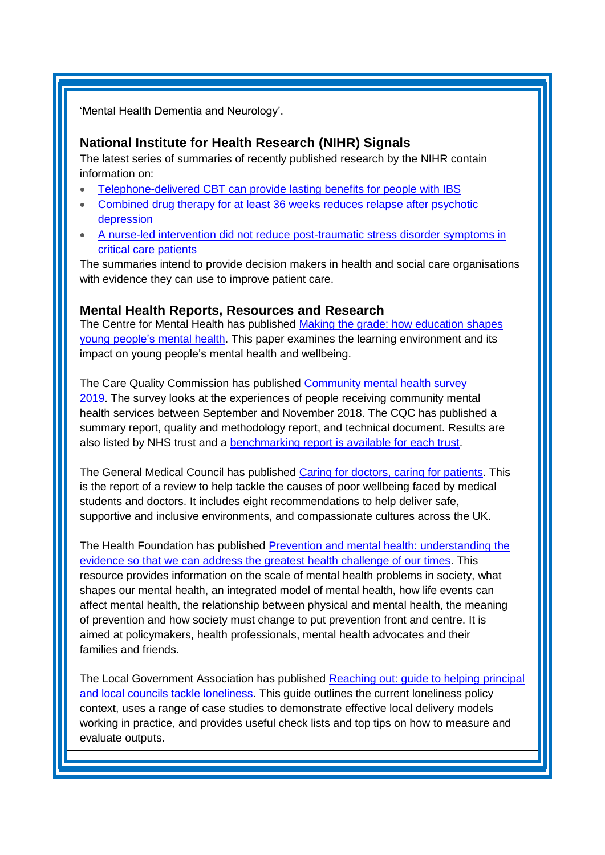<span id="page-3-0"></span>'Mental Health Dementia and Neurology'.

### **National Institute for Health Research (NIHR) Signals**

The latest series of summaries of recently published research by the NIHR contain information on:

- [Telephone-delivered CBT can provide lasting benefits for people with IBS](https://discover.dc.nihr.ac.uk/content/signal-000842/people-with-ibs-benefit-from-telephone-delivered-cbt)
- Combined drug therapy for at least 36 weeks reduces relapse after psychotic [depression](https://discover.dc.nihr.ac.uk/content/signal-000843/combined-drug-therapy-for-at-least-36-weeks-reduces-relapse-after-psychotic-depression)
- [A nurse-led intervention did not reduce post-traumatic stress disorder symptoms in](https://discover.dc.nihr.ac.uk/content/signal-000844/critical-care-ptsd-support-trial-did-not-reduce-symptoms)  [critical care patients](https://discover.dc.nihr.ac.uk/content/signal-000844/critical-care-ptsd-support-trial-did-not-reduce-symptoms)

The summaries intend to provide decision makers in health and social care organisations with evidence they can use to improve patient care.

#### **Mental Health Reports, Resources and Research**

The Centre for Mental Health has published [Making the grade: how education shapes](https://www.centreformentalhealth.org.uk/making-the-grade)  [young people's](https://www.centreformentalhealth.org.uk/making-the-grade) mental health. This paper examines the learning environment and its impact on young people's mental health and wellbeing.

The Care Quality Commission has published [Community mental health survey](https://www.cqc.org.uk/publications/surveys/community-mental-health-survey-2019)  [2019.](https://www.cqc.org.uk/publications/surveys/community-mental-health-survey-2019) The survey looks at the experiences of people receiving community mental health services between September and November 2018. The CQC has published a summary report, quality and methodology report, and technical document. Results are also listed by NHS trust and a [benchmarking report is available for each trust.](https://nhssurveys.org/all-files/05-community-mental-health/05-benchmarks-reports/2019/)

The General Medical Council has published [Caring for doctors, caring for patients.](https://www.gmc-uk.org/about/how-we-work/corporate-strategy-plans-and-impact/supporting-a-profession-under-pressure/uk-wide-review-of-doctors-and-medical-students-wellbeing) This is the report of a review to help tackle the causes of poor wellbeing faced by medical students and doctors. It includes eight recommendations to help deliver safe, supportive and inclusive environments, and compassionate cultures across the UK.

The Health Foundation has published [Prevention and mental health: understanding the](https://www.mentalhealth.org.uk/publications/prevention-and-mental-health-research-paper)  [evidence so that we can address the greatest health challenge of our times.](https://www.mentalhealth.org.uk/publications/prevention-and-mental-health-research-paper) This resource provides information on the scale of mental health problems in society, what shapes our mental health, an integrated model of mental health, how life events can affect mental health, the relationship between physical and mental health, the meaning of prevention and how society must change to put prevention front and centre. It is aimed at policymakers, health professionals, mental health advocates and their families and friends.

The Local Government Association has published Reaching out: guide to helping principal [and local councils tackle loneliness.](https://www.local.gov.uk/reaching-out) This guide outlines the current loneliness policy context, uses a range of case studies to demonstrate effective local delivery models working in practice, and provides useful check lists and top tips on how to measure and evaluate outputs.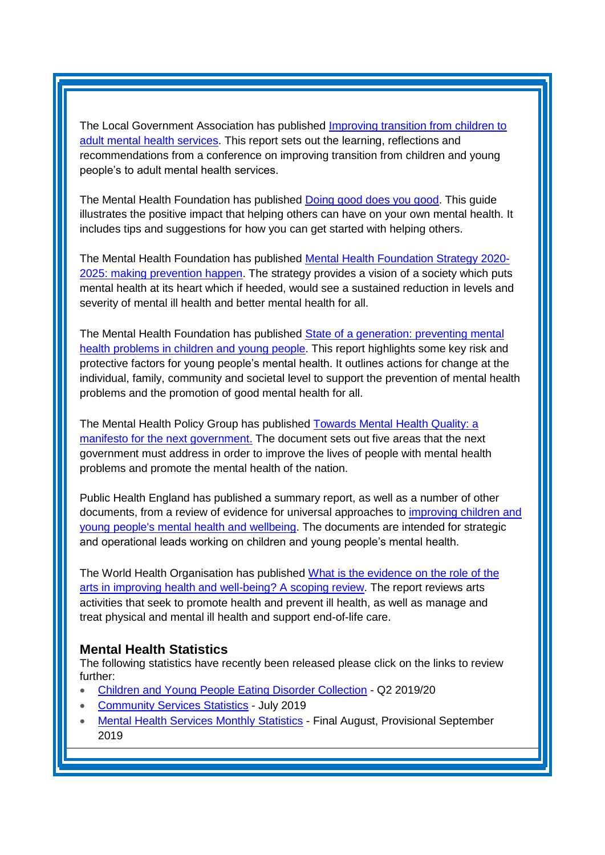The Local Government Association has published *Improving transition from children to* [adult mental health services.](https://www.local.gov.uk/improving-transition-children-adult-mental-health-services) This report sets out the learning, reflections and recommendations from a conference on improving transition from children and young people's to adult mental health services.

The Mental Health Foundation has published [Doing good does you good.](https://www.mentalhealth.org.uk/publications/doing-good-does-you-good) This guide illustrates the positive impact that helping others can have on your own mental health. It includes tips and suggestions for how you can get started with helping others.

The Mental Health Foundation has published [Mental Health Foundation Strategy 2020-](https://www.mentalhealth.org.uk/publications/mental-health-foundation-strategy-2020-2025-making-prevention-happen) [2025: making prevention happen.](https://www.mentalhealth.org.uk/publications/mental-health-foundation-strategy-2020-2025-making-prevention-happen) The strategy provides a vision of a society which puts mental health at its heart which if heeded, would see a sustained reduction in levels and severity of mental ill health and better mental health for all.

The Mental Health Foundation has published State of a generation: preventing mental [health problems in children and young people.](https://www.mentalhealth.org.uk/publications/state-generation-preventing-mental-health-problems-children-and-young-people) This report highlights some key risk and protective factors for young people's mental health. It outlines actions for change at the individual, family, community and societal level to support the prevention of mental health problems and the promotion of good mental health for all.

The Mental Health Policy Group has published [Towards Mental Health Quality: a](https://www.mentalhealth.org.uk/publications/towards-mental-health-equality-manifesto-next-government)  [manifesto for the next government.](https://www.mentalhealth.org.uk/publications/towards-mental-health-equality-manifesto-next-government) The document sets out five areas that the next government must address in order to improve the lives of people with mental health problems and promote the mental health of the nation.

Public Health England has published a summary report, as well as a number of other documents, from a review of evidence for universal approaches to [improving children and](https://www.gov.uk/government/publications/children-and-young-peoples-mental-health-prevention-evidence)  [young people's mental health and wellbeing.](https://www.gov.uk/government/publications/children-and-young-peoples-mental-health-prevention-evidence) The documents are intended for strategic and operational leads working on children and young people's mental health.

The World Health Organisation has published [What is the evidence on the role of the](http://www.euro.who.int/en/publications/abstracts/what-is-the-evidence-on-the-role-of-the-arts-in-improving-health-and-well-being-a-scoping-review-2019)  [arts in improving health and well-being? A scoping review.](http://www.euro.who.int/en/publications/abstracts/what-is-the-evidence-on-the-role-of-the-arts-in-improving-health-and-well-being-a-scoping-review-2019) The report reviews arts activities that seek to promote health and prevent ill health, as well as manage and treat physical and mental ill health and support end-of-life care.

### <span id="page-4-0"></span>**Mental Health Statistics**

The following statistics have recently been released please click on the links to review further:

- <span id="page-4-1"></span>• [Children and Young People Eating Disorder Collection](https://www.gov.uk/government/statistics/children-and-young-people-eating-disorder-collection-q2-201920) - Q2 2019/20
- [Community Services Statistics](https://digital.nhs.uk/data-and-information/publications/statistical/community-services-statistics-for-children-young-people-and-adults/july-2019) July 2019
- [Mental Health Services Monthly Statistics](https://digital.nhs.uk/data-and-information/publications/statistical/mental-health-services-monthly-statistics/final-august-provisional-september-2019) Final August, Provisional September 2019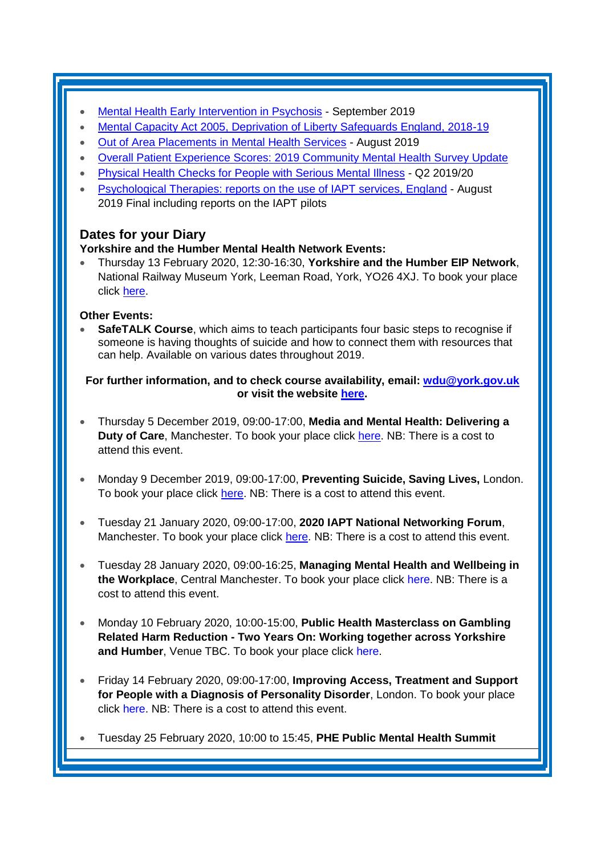- [Mental Health Early Intervention in Psychosis](https://www.gov.uk/government/statistics/mental-health-early-intervention-in-psychosis-for-september-2019) September 2019
- [Mental Capacity Act 2005, Deprivation of Liberty Safeguards England, 2018-19](https://digital.nhs.uk/data-and-information/publications/statistical/mental-capacity-act-2005-deprivation-of-liberty-safeguards-assessments/england-2018-19)
- [Out of Area Placements in Mental Health Services](https://digital.nhs.uk/data-and-information/publications/statistical/out-of-area-placements-in-mental-health-services/august-2019) August 2019
- [Overall Patient Experience Scores: 2019 Community Mental Health Survey Update](https://www.england.nhs.uk/statistics/2019/11/26/overall-patient-experience-scores-2019-community-mental-health-survey-update/)
- [Physical Health Checks for People with Serious Mental Illness](https://www.gov.uk/government/statistics/physical-health-checks-for-people-with-serious-mental-illness-q2-201920) Q2 2019/20
- [Psychological Therapies: reports on the use of IAPT services, England](https://digital.nhs.uk/data-and-information/publications/statistical/psychological-therapies-report-on-the-use-of-iapt-services/august-2019-final-including-reports-on-the-iapt-pilots) August 2019 Final including reports on the IAPT pilots

# **Dates for your Diary**

### **Yorkshire and the Humber Mental Health Network Events:**

• Thursday 13 February 2020, 12:30-16:30, **Yorkshire and the Humber EIP Network**, National Railway Museum York, Leeman Road, York, YO26 4XJ. To book your place click [here.](https://www.eventbrite.co.uk/e/north-east-and-yorkshire-and-the-humber-eip-network-tickets-82827720943)

### **Other Events:**

**SafeTALK Course**, which aims to teach participants four basic steps to recognise if someone is having thoughts of suicide and how to connect them with resources that can help. Available on various dates throughout 2019.

#### **For further information, and to check course availability, email: [wdu@york.gov.uk](mailto:wdu@york.gov.uk) or visit the website [here.](http://www.yorkworkforcedevelopment.org.uk/)**

- Thursday 5 December 2019, 09:00-17:00, **Media and Mental Health: Delivering a Duty of Care**, Manchester. To book your place click [here.](https://www.openforumevents.co.uk/events/2019/media-mental-health-delivering-a-duty-of-care/#book?utm_source=OFE+S3+MMH19+WC+19.08.2019+4+NHS&utm_medium=email&utm_campaign=OFE+S3+MMH19+WC+19.08.2019) NB: There is a cost to attend this event.
- Monday 9 December 2019, 09:00-17:00, **Preventing Suicide, Saving Lives,** London. To book your place click [here.](https://www.healthcareconferencesuk.co.uk/assets/conferences-and-masterclasses/conferences/2019/dec-2019/suicide-prevention-dec-2019.pdf) NB: There is a cost to attend this event.
- Tuesday 21 January 2020, 09:00-17:00, **2020 IAPT National Networking Forum**, Manchester. To book your place click [here.](http://www.iapt-nnf.co.uk/Home/ViewEvent/127) NB: There is a cost to attend this event.
- Tuesday 28 January 2020, 09:00-16:25, **Managing Mental Health and Wellbeing in the Workplace**, Central Manchester. To book your place click [here.](https://nhs-insight.com/booking/3436/VPWX1O-1900096) NB: There is a cost to attend this event.
- Monday 10 February 2020, 10:00-15:00, **Public Health Masterclass on Gambling Related Harm Reduction - Two Years On: Working together across Yorkshire and Humber**, Venue TBC. To book your place click [here.](https://www.eventbrite.co.uk/e/public-health-masterclass-on-gambling-related-harm-reduction-2-years-on-tickets-82790248863)
- Friday 14 February 2020, 09:00-17:00, **Improving Access, Treatment and Support for People with a Diagnosis of Personality Disorder**, London. To book your place click [here.](https://www.healthcareconferencesuk.co.uk/conferences-masterclasses/personality-disorder?utm_medium=email&utm_source=HCUKKT%20&utm_campaign=Personality%200220) NB: There is a cost to attend this event.
- Tuesday 25 February 2020, 10:00 to 15:45, **PHE Public Mental Health Summit**